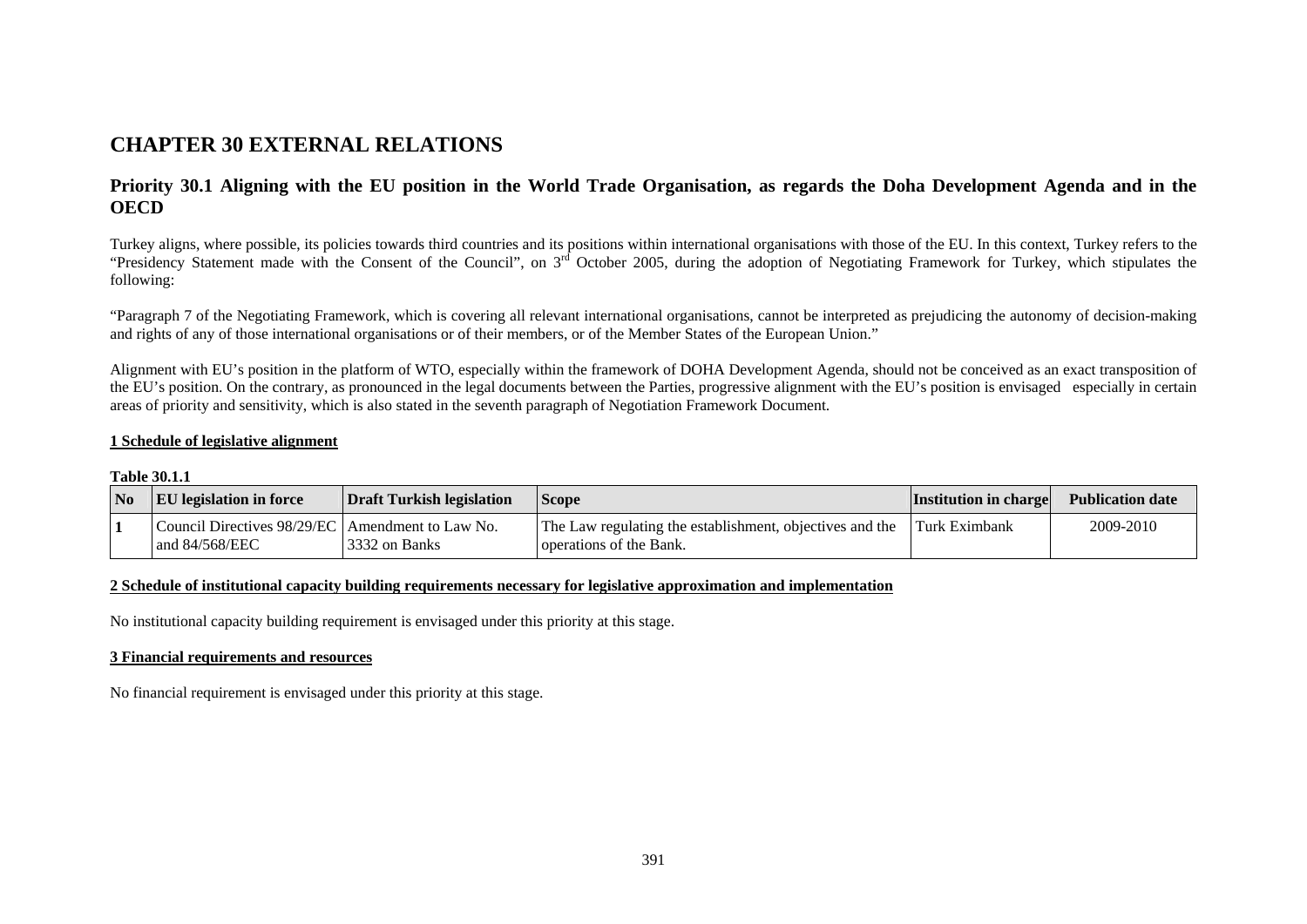# **CHAPTER 30 EXTERNAL RELATIONS**

# **Priority 30.1 Aligning with the EU position in the World Trade Organisation, as regards the Doha Development Agenda and in the OECD**

Turkey aligns, where possible, its policies towards third countries and its positions within international organisations with those of the EU. In this context, Turkey refers to the "Presidency Statement made with the Consent of the Council", on 3<sup>rd</sup> October 2005, during the adoption of Negotiating Framework for Turkey, which stipulates the following:

"Paragraph 7 of the Negotiating Framework, which is covering all relevant international organisations, cannot be interpreted as prejudicing the autonomy of decision-making and rights of any of those international organisations or of their members, or of the Member States of the European Union."

Alignment with EU's position in the platform of WTO, especially within the framework of DOHA Development Agenda, should not be conceived as an exact transposition of the EU's position. On the contrary, as pronounced in the legal documents between the Parties, progressive alignment with the EU's position is envisaged especially in certain areas of priority and sensitivity, which is also stated in the seventh paragraph of Negotiation Framework Document.

### **1 Schedule of legislative alignment**

**Table 30.1.1** 

| <b>No</b> | <b>EU</b> legislation in force                                         | Draft Turkish legislation | <b>Scope</b>                                                                        | <b>Institution in charge</b> | <b>Publication date</b> |
|-----------|------------------------------------------------------------------------|---------------------------|-------------------------------------------------------------------------------------|------------------------------|-------------------------|
|           | Council Directives 98/29/EC   Amendment to Law No.<br>and $84/568/EEC$ | 3332 on Banks             | The Law regulating the establishment, objectives and the<br>operations of the Bank. | <b>Turk Eximbank</b>         | 2009-2010               |

### **2 Schedule of institutional capacity building requirements necessary for legislative approximation and implementation**

No institutional capacity building requirement is envisaged under this priority at this stage.

### **3 Financial requirements and resources**

No financial requirement is envisaged under this priority at this stage.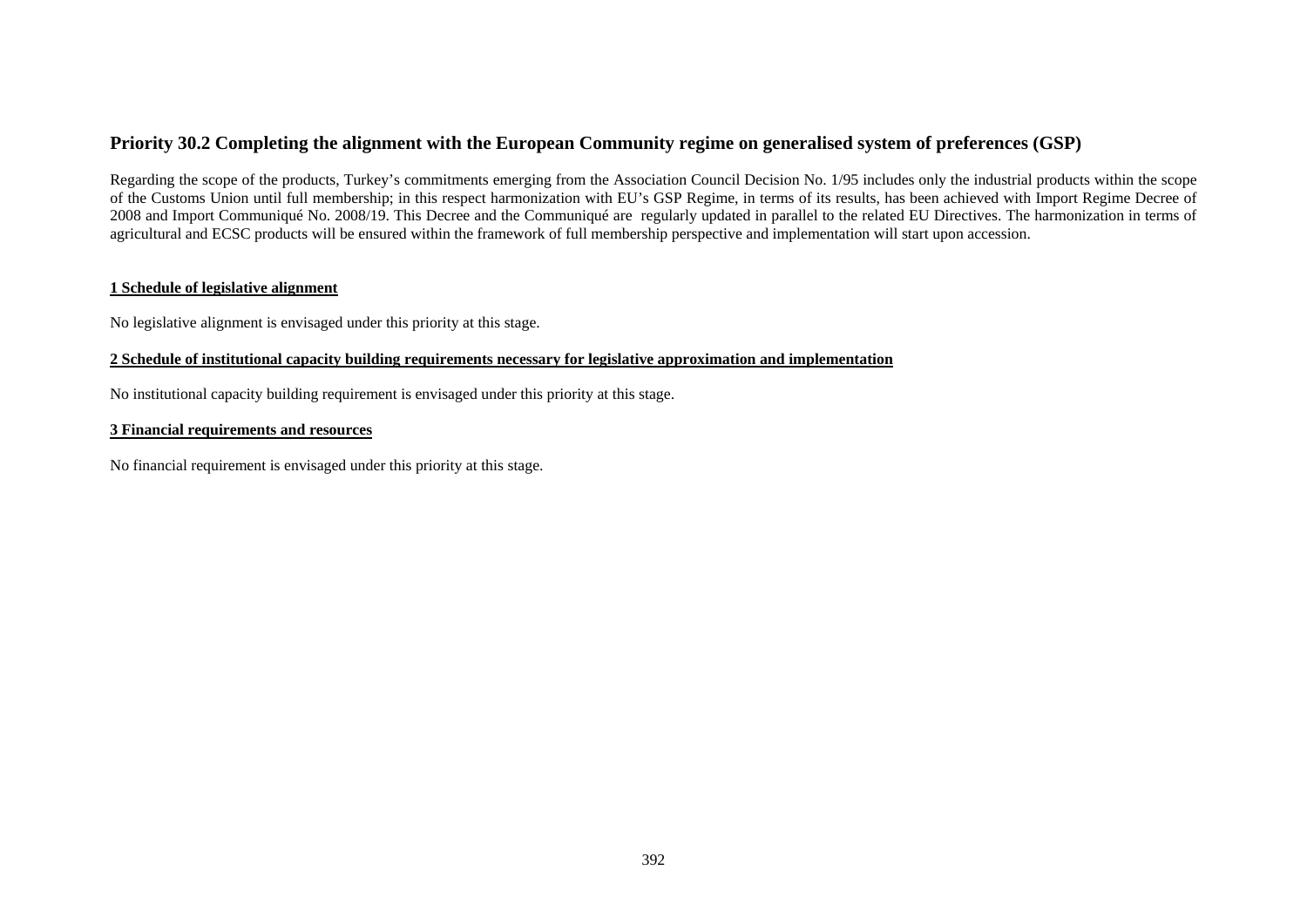# **Priority 30.2 Completing the alignment with the European Community regime on generalised system of preferences (GSP)**

Regarding the scope of the products, Turkey's commitments emerging from the Association Council Decision No. 1/95 includes only the industrial products within the scope of the Customs Union until full membership; in this respect harmonization with EU's GSP Regime, in terms of its results, has been achieved with Import Regime Decree of 2008 and Import Communiqué No. 2008/19. This Decree and the Communiqué are regularly updated in parallel to the related EU Directives. The harmonization in terms of agricultural and ECSC products will be ensured within the framework of full membership perspective and implementation will start upon accession.

# **1 Schedule of legislative alignment**

No legislative alignment is envisaged under this priority at this stage.

# **2 Schedule of institutional capacity building requirements necessary for legislative approximation and implementation**

No institutional capacity building requirement is envisaged under this priority at this stage.

### **3 Financial requirements and resources**

No financial requirement is envisaged under this priority at this stage.